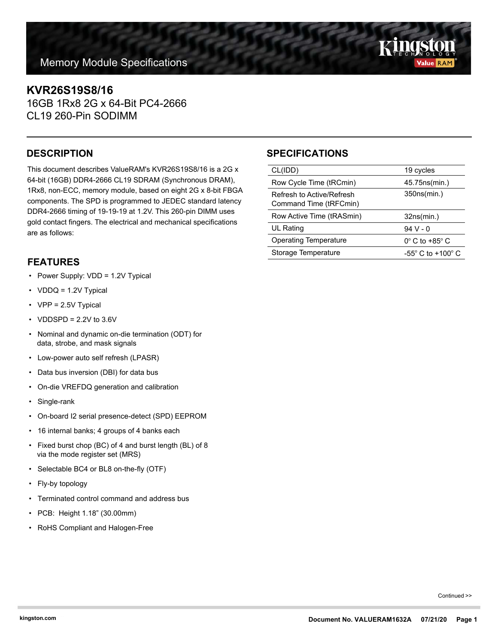# **KVR26S19S8/16**

16GB 1Rx8 2G x 64-Bit PC4-2666 CL19 260-Pin SODIMM

This document describes ValueRAM's KVR26S19S8/16 is a 2G x 64-bit (16GB) DDR4-2666 CL19 SDRAM (Synchronous DRAM), 1Rx8, non-ECC, memory module, based on eight 2G x 8-bit FBGA components. The SPD is programmed to JEDEC standard latency DDR4-2666 timing of 19-19-19 at 1.2V. This 260-pin DIMM uses gold contact fingers. The electrical and mechanical specifications are as follows:

#### **FEATURES**

- Power Supply: VDD = 1.2V Typical
- VDDQ = 1.2V Typical
- VPP = 2.5V Typical
- $\cdot$  VDDSPD = 2.2V to 3.6V
- Nominal and dynamic on-die termination (ODT) for data, strobe, and mask signals
- Low-power auto self refresh (LPASR)
- Data bus inversion (DBI) for data bus
- On-die VREFDQ generation and calibration
- Single-rank
- On-board I2 serial presence-detect (SPD) EEPROM
- 16 internal banks; 4 groups of 4 banks each
- Fixed burst chop (BC) of 4 and burst length (BL) of 8 via the mode register set (MRS)
- Selectable BC4 or BL8 on-the-fly (OTF)
- Fly-by topology
- Terminated control command and address bus
- PCB: Height 1.18" (30.00mm)
- RoHS Compliant and Halogen-Free

## **DESCRIPTION SPECIFICATIONS**

| CL(IDD)                                             | 19 cycles                     |
|-----------------------------------------------------|-------------------------------|
| Row Cycle Time (tRCmin)                             | 45.75ns(min.)                 |
| Refresh to Active/Refresh<br>Command Time (tRFCmin) | 350ns(min.)                   |
|                                                     |                               |
| Row Active Time (tRASmin)                           | 32ns(min.)                    |
| UL Rating                                           | 94 V - 0                      |
| <b>Operating Temperature</b>                        | $0^\circ$ C to +85 $^\circ$ C |

Continued >>